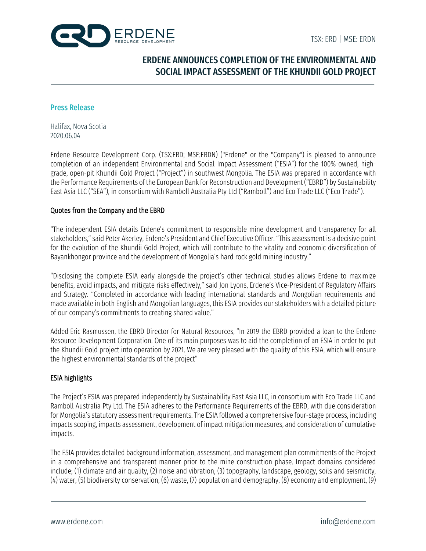

# ERDENE ANNOUNCES COMPLETION OF THE ENVIRONMENTAL AND SOCIAL IMPACT ASSESSMENT OF THE KHUNDII GOLD PROJECT

# Press Release

Halifax, Nova Scotia 2020.06.04

Erdene Resource Development Corp. (TSX:ERD; MSE:ERDN) ("Erdene" or the "Company") is pleased to announce completion of an independent Environmental and Social Impact Assessment ("ESIA") for the 100%-owned, highgrade, open-pit Khundii Gold Project ("Project") in southwest Mongolia. The ESIA was prepared in accordance with the Performance Requirements of the European Bank for Reconstruction and Development ("EBRD") by Sustainability East Asia LLC ("SEA"), in consortium with Ramboll Australia Pty Ltd ("Ramboll") and Eco Trade LLC ("Eco Trade").

#### Quotes from the Company and the EBRD

"The independent ESIA details Erdene's commitment to responsible mine development and transparency for all stakeholders,"said Peter Akerley, Erdene's President and Chief Executive Officer. "This assessment is a decisive point for the evolution of the Khundii Gold Project, which will contribute to the vitality and economic diversification of Bayankhongor province and the development of Mongolia's hard rock gold mining industry."

"Disclosing the complete ESIA early alongside the project's other technical studies allows Erdene to maximize benefits, avoid impacts, and mitigate risks effectively," said Jon Lyons, Erdene's Vice-President of Regulatory Affairs and Strategy. "Completed in accordance with leading international standards and Mongolian requirements and made available in both English and Mongolian languages, this ESIA provides our stakeholders with a detailed picture of our company's commitments to creating shared value."

Added Eric Rasmussen, the EBRD Director for Natural Resources, "In 2019 the EBRD provided a loan to the Erdene Resource Development Corporation. One of its main purposes was to aid the completion of an ESIA in order to put the Khundii Gold project into operation by 2021. We are very pleased with the quality of this ESIA, which will ensure the highest environmental standards of the project"

## ESIA highlights

The Project's ESIA was prepared independently by Sustainability East Asia LLC, in consortium with Eco Trade LLC and Ramboll Australia Pty Ltd. The ESIA adheres to the Performance Requirements of the EBRD, with due consideration for Mongolia's statutory assessment requirements. The ESIA followed a comprehensive four-stage process, including impacts scoping, impacts assessment, development of impact mitigation measures, and consideration of cumulative impacts.

The ESIA provides detailed background information, assessment, and management plan commitments of the Project in a comprehensive and transparent manner prior to the mine construction phase. Impact domains considered include; (1) climate and air quality, (2) noise and vibration, (3) topography, landscape, geology, soils and seismicity, (4) water, (5) biodiversity conservation, (6) waste, (7) population and demography, (8) economy and employment, (9)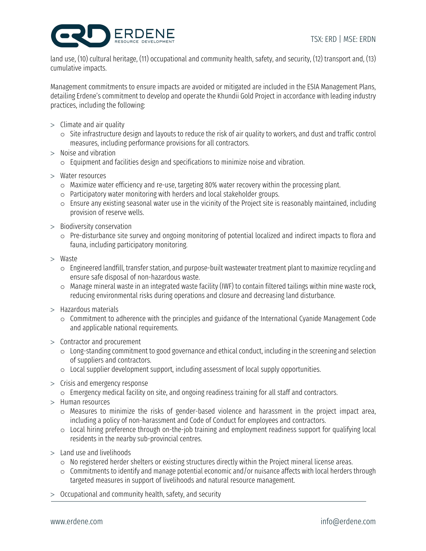

land use, (10) cultural heritage, (11) occupational and community health, safety, and security, (12) transport and, (13) cumulative impacts.

Management commitments to ensure impacts are avoided or mitigated are included in the ESIA Management Plans, detailing Erdene's commitment to develop and operate the Khundii Gold Project in accordance with leading industry practices, including the following:

- $>$  Climate and air quality
	- o Site infrastructure design and layouts to reduce the risk of air quality to workers, and dust and traffic control measures, including performance provisions for all contractors.
- > Noise and vibration
	- o Equipment and facilities design and specifications to minimize noise and vibration.
- > Water resources
	- o Maximize water efficiency and re-use, targeting 80% water recovery within the processing plant.
	- o Participatory water monitoring with herders and local stakeholder groups.
	- o Ensure any existing seasonal water use in the vicinity of the Project site is reasonably maintained, including provision of reserve wells.
- > Biodiversity conservation
	- o Pre-disturbance site survey and ongoing monitoring of potential localized and indirect impacts to flora and fauna, including participatory monitoring.
- > Waste
	- o Engineered landfill, transfer station, and purpose-built wastewater treatment plant to maximize recycling and ensure safe disposal of non-hazardous waste.
	- o Manage mineral waste in an integrated waste facility (IWF) to contain filtered tailings within mine waste rock, reducing environmental risks during operations and closure and decreasing land disturbance.
- > Hazardous materials
	- o Commitment to adherence with the principles and guidance of the International Cyanide Management Code and applicable national requirements.
- > Contractor and procurement
	- o Long-standing commitment to good governance and ethical conduct, including in the screening and selection of suppliers and contractors.
	- o Local supplier development support, including assessment of local supply opportunities.
- > Crisis and emergency response
	- o Emergency medical facility on site, and ongoing readiness training for all staff and contractors.
- > Human resources
	- o Measures to minimize the risks of gender-based violence and harassment in the project impact area, including a policy of non-harassment and Code of Conduct for employees and contractors.
	- o Local hiring preference through on-the-job training and employment readiness support for qualifying local residents in the nearby sub-provincial centres.
- > Land use and livelihoods
	- o No registered herder shelters or existing structures directly within the Project mineral license areas.
	- o Commitments to identify and manage potential economic and/or nuisance affects with local herders through targeted measures in support of livelihoods and natural resource management.
- > Occupational and community health, safety, and security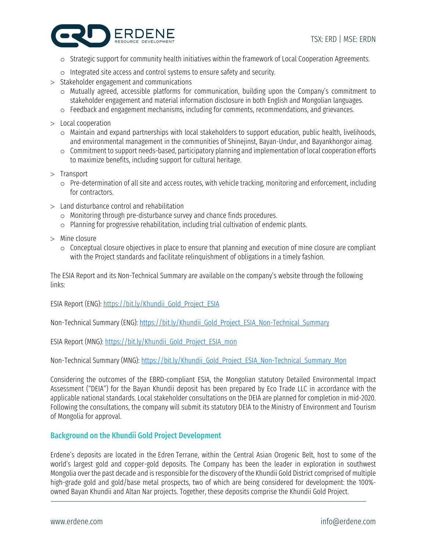

- o Strategic support for community health initiatives within the framework of Local Cooperation Agreements.
- o Integrated site access and control systems to ensure safety and security.
- > Stakeholder engagement and communications
	- o Mutually agreed, accessible platforms for communication, building upon the Company's commitment to stakeholder engagement and material information disclosure in both English and Mongolian languages.
	- o Feedback and engagement mechanisms, including for comments, recommendations, and grievances.
- > Local cooperation
	- o Maintain and expand partnerships with local stakeholders to support education, public health, livelihoods, and environmental management in the communities of Shinejinst, Bayan-Undur, and Bayankhongor aimag.
	- o Commitment to support needs-based, participatory planning and implementation of local cooperation efforts to maximize benefits, including support for cultural heritage.
- > Transport
	- $\circ$  Pre-determination of all site and access routes, with vehicle tracking, monitoring and enforcement, including for contractors.
- > Land disturbance control and rehabilitation
	- o Monitoring through pre-disturbance survey and chance finds procedures.
	- o Planning for progressive rehabilitation, including trial cultivation of endemic plants.
- > Mine closure
	- o Conceptual closure objectives in place to ensure that planning and execution of mine closure are compliant with the Project standards and facilitate relinquishment of obligations in a timely fashion.

The ESIA Report and its Non-Technical Summary are available on the company's website through the following links:

ESIA Report (ENG): https://bit.ly/Khundii\_Gold\_Project\_ESIA

Non-Technical Summary (ENG): https://bit.ly/Khundii\_Gold\_Project\_ESIA\_Non-Technical\_Summary

ESIA Report (MNG): https://bit.ly/Khundii\_Gold\_Project\_ESIA\_mon

Non-Technical Summary (MNG): https://bit.ly/Khundii\_Gold\_Project\_ESIA\_Non-Technical\_Summary\_Mon

Considering the outcomes of the EBRD-compliant ESIA, the Mongolian statutory Detailed Environmental Impact Assessment ("DEIA") for the Bayan Khundii deposit has been prepared by Eco Trade LLC in accordance with the applicable national standards. Local stakeholder consultations on the DEIA are planned for completion in mid-2020. Following the consultations, the company will submit its statutory DEIA to the Ministry of Environment and Tourism of Mongolia for approval.

## Background on the Khundii Gold Project Development

Erdene's deposits are located in the Edren Terrane, within the Central Asian Orogenic Belt, host to some of the world's largest gold and copper-gold deposits. The Company has been the leader in exploration in southwest Mongolia over the past decade and is responsible for the discovery of the Khundii Gold District comprised of multiple high-grade gold and gold/base metal prospects, two of which are being considered for development: the 100% owned Bayan Khundii and Altan Nar projects. Together, these deposits comprise the Khundii Gold Project.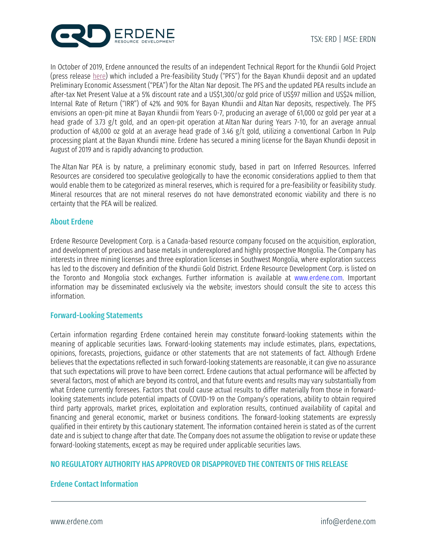

In October of 2019, Erdene announced the results of an independent Technical Report for the Khundii Gold Project (press release here) which included a Pre-feasibility Study ("PFS") for the Bayan Khundii deposit and an updated Preliminary Economic Assessment ("PEA") for the Altan Nar deposit. The PFS and the updated PEA results include an after-tax Net Present Value at a 5% discount rate and a US\$1,300/oz gold price of US\$97 million and US\$24 million, Internal Rate of Return ("IRR") of 42% and 90% for Bayan Khundii and Altan Nar deposits, respectively. The PFS envisions an open-pit mine at Bayan Khundii from Years 0-7, producing an average of 61,000 oz gold per year at a head grade of 3.73 g/t gold, and an open-pit operation at Altan Nar during Years 7-10, for an average annual production of 48,000 oz gold at an average head grade of 3.46 g/t gold, utilizing a conventional Carbon In Pulp processing plant at the Bayan Khundii mine. Erdene has secured a mining license for the Bayan Khundii deposit in August of 2019 and is rapidly advancing to production.

The Altan Nar PEA is by nature, a preliminary economic study, based in part on Inferred Resources. Inferred Resources are considered too speculative geologically to have the economic considerations applied to them that would enable them to be categorized as mineral reserves, which is required for a pre-feasibility or feasibility study. Mineral resources that are not mineral reserves do not have demonstrated economic viability and there is no certainty that the PEA will be realized.

#### About Erdene

Erdene Resource Development Corp. is a Canada-based resource company focused on the acquisition, exploration, and development of precious and base metals in underexplored and highly prospective Mongolia. The Company has interests in three mining licenses and three exploration licenses in Southwest Mongolia, where exploration success has led to the discovery and definition of the Khundii Gold District. Erdene Resource Development Corp. is listed on the Toronto and Mongolia stock exchanges. Further information is available at www.erdene.com. Important information may be disseminated exclusively via the website; investors should consult the site to access this information.

## Forward-Looking Statements

Certain information regarding Erdene contained herein may constitute forward-looking statements within the meaning of applicable securities laws. Forward-looking statements may include estimates, plans, expectations, opinions, forecasts, projections, guidance or other statements that are not statements of fact. Although Erdene believes that the expectations reflected in such forward-looking statements are reasonable, it can give no assurance that such expectations will prove to have been correct. Erdene cautions that actual performance will be affected by several factors, most of which are beyond its control, and that future events and results may vary substantially from what Erdene currently foresees. Factors that could cause actual results to differ materially from those in forwardlooking statements include potential impacts of COVID-19 on the Company's operations, ability to obtain required third party approvals, market prices, exploitation and exploration results, continued availability of capital and financing and general economic, market or business conditions. The forward-looking statements are expressly qualified in their entirety by this cautionary statement. The information contained herein is stated as of the current date and is subject to change after that date. The Company does not assume the obligation to revise or update these forward-looking statements, except as may be required under applicable securities laws.

# NO REGULATORY AUTHORITY HAS APPROVED OR DISAPPROVED THE CONTENTS OF THIS RELEASE

#### Erdene Contact Information